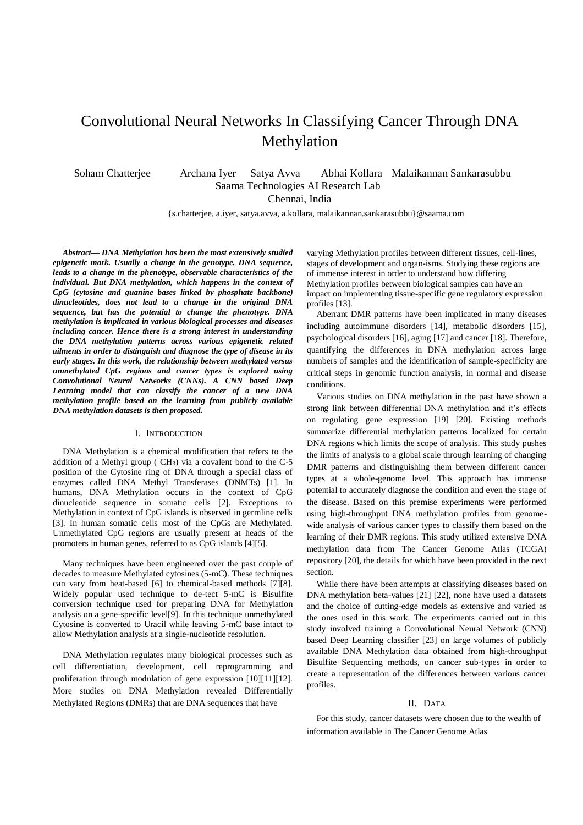# Convolutional Neural Networks In Classifying Cancer Through DNA Methylation

Soham Chatterjee Archana Iyer Satya Avva Abhai Kollara Malaikannan Sankarasubbu Saama Technologies AI Research Lab

Chennai, India

{s.chatterjee, a.iyer, satya.avva, a.kollara, malaikannan.sankarasubbu}@saama.com

*Abstract— DNA Methylation has been the most extensively studied epigenetic mark. Usually a change in the genotype, DNA sequence, leads to a change in the phenotype, observable characteristics of the individual. But DNA methylation, which happens in the context of CpG (cytosine and guanine bases linked by phosphate backbone) dinucleotides, does not lead to a change in the original DNA sequence, but has the potential to change the phenotype. DNA methylation is implicated in various biological processes and diseases including cancer. Hence there is a strong interest in understanding the DNA methylation patterns across various epigenetic related ailments in order to distinguish and diagnose the type of disease in its early stages. In this work, the relationship between methylated versus unmethylated CpG regions and cancer types is explored using Convolutional Neural Networks (CNNs). A CNN based Deep Learning model that can classify the cancer of a new DNA methylation profile based on the learning from publicly available DNA methylation datasets is then proposed.*

#### I. INTRODUCTION

DNA Methylation is a chemical modification that refers to the addition of a Methyl group ( $CH<sub>3</sub>$ ) via a covalent bond to the C-5 position of the Cytosine ring of DNA through a special class of enzymes called DNA Methyl Transferases (DNMTs) [1]. In humans, DNA Methylation occurs in the context of CpG dinucleotide sequence in somatic cells [2]. Exceptions to Methylation in context of CpG islands is observed in germline cells [3]. In human somatic cells most of the CpGs are Methylated. Unmethylated CpG regions are usually present at heads of the promoters in human genes, referred to as CpG islands [4][5].

Many techniques have been engineered over the past couple of decades to measure Methylated cytosines (5-mC). These techniques can vary from heat-based [6] to chemical-based methods [7][8]. Widely popular used technique to de-tect 5-mC is Bisulfite conversion technique used for preparing DNA for Methylation analysis on a gene-specific level[9]. In this technique unmethylated Cytosine is converted to Uracil while leaving 5-mC base intact to allow Methylation analysis at a single-nucleotide resolution.

DNA Methylation regulates many biological processes such as cell differentiation, development, cell reprogramming and proliferation through modulation of gene expression [10][11][12]. More studies on DNA Methylation revealed Differentially Methylated Regions (DMRs) that are DNA sequences that have

varying Methylation profiles between different tissues, cell-lines, stages of development and organ-isms. Studying these regions are of immense interest in order to understand how differing Methylation profiles between biological samples can have an impact on implementing tissue-specific gene regulatory expression profiles [13].

Aberrant DMR patterns have been implicated in many diseases including autoimmune disorders [14], metabolic disorders [15], psychological disorders [16], aging [17] and cancer [18]. Therefore, quantifying the differences in DNA methylation across large numbers of samples and the identification of sample-specificity are critical steps in genomic function analysis, in normal and disease conditions.

Various studies on DNA methylation in the past have shown a strong link between differential DNA methylation and it's effects on regulating gene expression [19] [20]. Existing methods summarize differential methylation patterns localized for certain DNA regions which limits the scope of analysis. This study pushes the limits of analysis to a global scale through learning of changing DMR patterns and distinguishing them between different cancer types at a whole-genome level. This approach has immense potential to accurately diagnose the condition and even the stage of the disease. Based on this premise experiments were performed using high-throughput DNA methylation profiles from genomewide analysis of various cancer types to classify them based on the learning of their DMR regions. This study utilized extensive DNA methylation data from The Cancer Genome Atlas (TCGA) repository [20], the details for which have been provided in the next section.

While there have been attempts at classifying diseases based on DNA methylation beta-values [21] [22], none have used a datasets and the choice of cutting-edge models as extensive and varied as the ones used in this work. The experiments carried out in this study involved training a Convolutional Neural Network (CNN) based Deep Learning classifier [23] on large volumes of publicly available DNA Methylation data obtained from high-throughput Bisulfite Sequencing methods, on cancer sub-types in order to create a representation of the differences between various cancer profiles.

### II. DATA

For this study, cancer datasets were chosen due to the wealth of information available in The Cancer Genome Atlas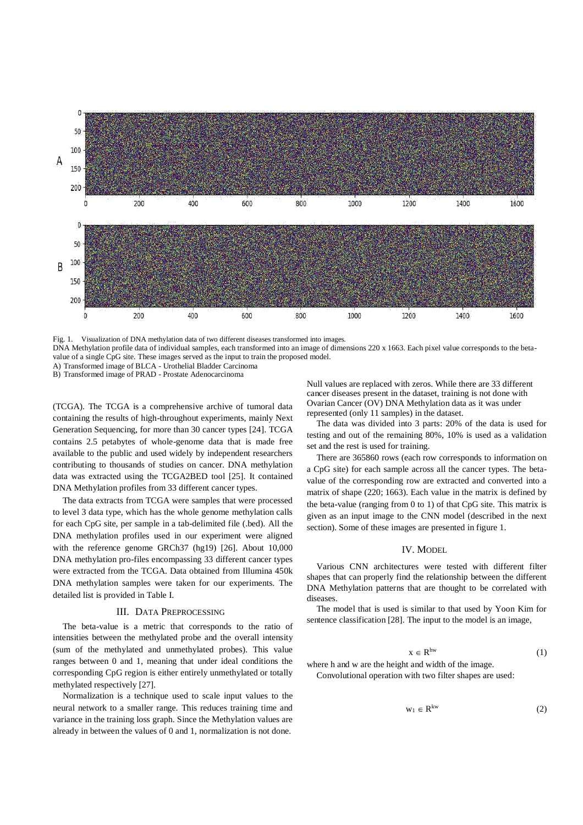<span id="page-1-0"></span>

Fig. 1. Visualization of DNA methylation data of two different diseases transformed into images.

DNA Methylation profile data of individual samples, each transformed into an image of dimensions 220 x 1663. Each pixel value corresponds to the betavalue of a single CpG site. These images served as the input to train the proposed model.

A) Transformed image of BLCA - Urothelial Bladder Carcinoma B) Transformed image of PRAD - Prostate Adenocarcinoma

(TCGA). The TCGA is a comprehensive archive of tumoral data containing the results of high-throughout experiments, mainly Next Generation Sequencing, for more than 30 cancer types [24]. TCGA contains 2.5 petabytes of whole-genome data that is made free available to the public and used widely by independent researchers contributing to thousands of studies on cancer. DNA methylation data was extracted using the TCGA2BED tool [25]. It contained DNA Methylation profiles from 33 different cancer types.

The data extracts from TCGA were samples that were processed to level 3 data type, which has the whole genome methylation calls for each CpG site, per sample in a tab-delimited file (.bed). All the DNA methylation profiles used in our experiment were aligned with the reference genome GRCh37 (hg19) [26]. About 10,000 DNA methylation pro-files encompassing 33 different cancer types were extracted from the TCGA. Data obtained from Illumina 450k DNA methylation samples were taken for our experiments. The detailed list is provided in Table [I.](#page-2-0)

#### III. DATA PREPROCESSING

The beta-value is a metric that corresponds to the ratio of intensities between the methylated probe and the overall intensity (sum of the methylated and unmethylated probes). This value ranges between 0 and 1, meaning that under ideal conditions the corresponding CpG region is either entirely unmethylated or totally methylated respectively [27].

Normalization is a technique used to scale input values to the neural network to a smaller range. This reduces training time and variance in the training loss graph. Since the Methylation values are already in between the values of 0 and 1, normalization is not done.

Null values are replaced with zeros. While there are 33 different cancer diseases present in the dataset, training is not done with Ovarian Cancer (OV) DNA Methylation data as it was under represented (only 11 samples) in the dataset.

The data was divided into 3 parts: 20% of the data is used for testing and out of the remaining 80%, 10% is used as a validation set and the rest is used for training.

There are 365860 rows (each row corresponds to information on a CpG site) for each sample across all the cancer types. The betavalue of the corresponding row are extracted and converted into a matrix of shape (220; 1663). Each value in the matrix is defined by the beta-value (ranging from 0 to 1) of that CpG site. This matrix is given as an input image to the CNN model (described in the next section). Some of these images are presented in figure [1.](#page-1-0)

#### IV. MODEL

Various CNN architectures were tested with different filter shapes that can properly find the relationship between the different DNA Methylation patterns that are thought to be correlated with diseases.

The model that is used is similar to that used by Yoon Kim for sentence classification [28]. The input to the model is an image,

$$
x \in R^{hw} \tag{1}
$$

where h and w are the height and width of the image. Convolutional operation with two filter shapes are used:

$$
w_1 \in R^{kw} \tag{2}
$$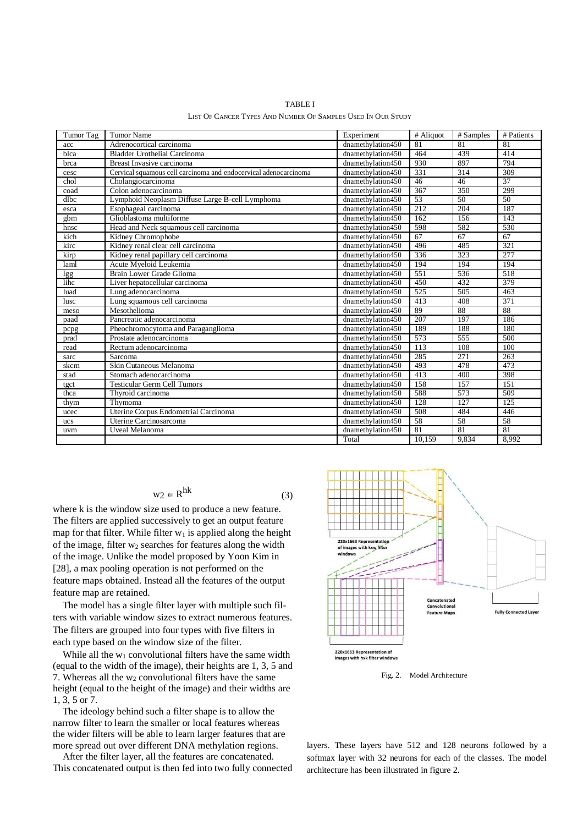<span id="page-2-0"></span>

| Tumor Tag  | <b>Tumor Name</b>                                                | Experiment           | # Aliquot | # Samples        | # Patients       |
|------------|------------------------------------------------------------------|----------------------|-----------|------------------|------------------|
| acc        | Adrenocortical carcinoma                                         | dnamethylation450    | 81        | $\overline{81}$  | 81               |
| blca       | <b>Bladder Urothelial Carcinoma</b>                              | dnamethylation450    | 464       | 439              | 414              |
| brca       | Breast Invasive carcinoma                                        | dnamethylation450    | 930       | 897              | 794              |
| cesc       | Cervical squamous cell carcinoma and endocervical adenocarcinoma | dnamethylation450    | 331       | 314              | 309              |
| chol       | Cholangiocarcinoma                                               | dnamethylation450    | 46        | 46               | 37               |
| coad       | Colon adenocarcinoma                                             | dnamethylation450    | 367       | 350              | 299              |
| $d$ l $bc$ | Lymphoid Neoplasm Diffuse Large B-cell Lymphoma                  | dnamethylation450    | 53        | 50               | 50               |
| esca       | Esophageal carcinoma                                             | dnamethylation450    | 212       | 204              | 187              |
| gbm        | Glioblastoma multiforme                                          | dnamethylation450    | 162       | 156              | 143              |
| hnsc       | Head and Neck squamous cell carcinoma                            | dnamethylation450    | 598       | 582              | 530              |
| kich       | Kidney Chromophobe                                               | dnamethylation450    | 67        | 67               | 67               |
| kirc       | Kidney renal clear cell carcinoma                                | dnamethylation450    | 496       | 485              | 321              |
| kirp       | Kidney renal papillary cell carcinoma                            | dnamethylation450    | 336       | 323              | $\overline{277}$ |
| laml       | Acute Myeloid Leukemia                                           | dnamethylation450    | 194       | 194              | 194              |
| lgg        | Brain Lower Grade Glioma                                         | $d$ namethylation450 | 551       | 536              | 518              |
| lihc       | Liver hepatocellular carcinoma                                   | dnamethylation450    | 450       | 432              | 379              |
| luad       | Lung adenocarcinoma                                              | dnamethylation450    | 525       | 505              | 463              |
| lusc       | Lung squamous cell carcinoma                                     | dnamethylation450    | 413       | 408              | 371              |
| meso       | Mesothelioma                                                     | dnamethylation450    | 89        | 88               | 88               |
| paad       | Pancreatic adenocarcinoma                                        | dnamethylation450    | 207       | 197              | 186              |
| pcpg       | Pheochromocytoma and Paraganglioma                               | dnamethylation450    | 189       | 188              | 180              |
| prad       | Prostate adenocarcinoma                                          | dnamethylation450    | 573       | 555              | 500              |
| read       | Rectum adenocarcinoma                                            | dnamethylation450    | 113       | 108              | 100              |
| sarc       | Sarcoma                                                          | dnamethylation450    | 285       | 271              | 263              |
| skcm       | Skin Cutaneous Melanoma                                          | dnamethylation450    | 493       | 478              | 473              |
| stad       | Stomach adenocarcinoma                                           | dnamethylation450    | 413       | 400              | 398              |
| tgct       | <b>Testicular Germ Cell Tumors</b>                               | dnamethylation450    | 158       | 157              | 151              |
| thca       | Thyroid carcinoma                                                | dnamethylation450    | 588       | 573              | 509              |
| thym       | Thymoma                                                          | dnamethylation450    | 128       | $\overline{127}$ | 125              |
| ucec       | Uterine Corpus Endometrial Carcinoma                             | dnamethylation450    | 508       | 484              | 446              |
| <b>ucs</b> | Uterine Carcinosarcoma                                           | dnamethylation450    | 58        | 58               | 58               |
| uvm        | Uveal Melanoma                                                   | dnamethylation450    | 81        | 81               | 81               |
|            |                                                                  | Total                | 10,159    | 9.834            | 8,992            |

TABLE I LIST OF CANCER TYPES AND NUMBER OF SAMPLES USED IN OUR STUDY

$$
w_2 \in R^{hk} \tag{3}
$$

where k is the window size used to produce a new feature. The filters are applied successively to get an output feature map for that filter. While filter  $w_1$  is applied along the height of the image, filter  $w_2$  searches for features along the width of the image. Unlike the model proposed by Yoon Kim in [28], a max pooling operation is not performed on the feature maps obtained. Instead all the features of the output feature map are retained.

The model has a single filter layer with multiple such filters with variable window sizes to extract numerous features. The filters are grouped into four types with five filters in each type based on the window size of the filter.

While all the  $w_1$  convolutional filters have the same width (equal to the width of the image), their heights are 1, 3, 5 and 7. Whereas all the  $w_2$  convolutional filters have the same height (equal to the height of the image) and their widths are 1, 3, 5 or 7.

The ideology behind such a filter shape is to allow the narrow filter to learn the smaller or local features whereas the wider filters will be able to learn larger features that are more spread out over different DNA methylation regions.

After the filter layer, all the features are concatenated. This concatenated output is then fed into two fully connected



Fig. 2. Model Architecture

layers. These layers have 512 and 128 neurons followed by a softmax layer with 32 neurons for each of the classes. The model architecture has been illustrated in figur[e 2.](#page-2-0)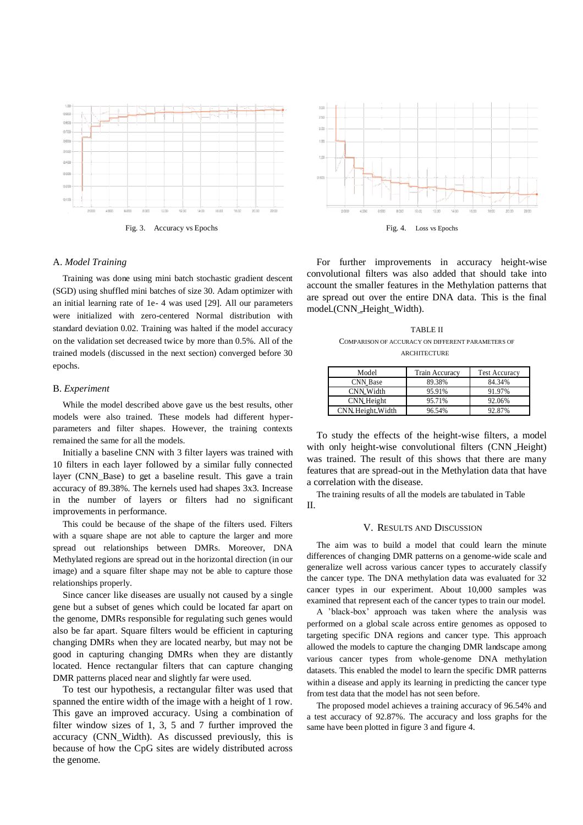<span id="page-3-0"></span>

## A. *Model Training*

Training was done using mini batch stochastic gradient descent (SGD) using shuffled mini batches of size 30. Adam optimizer with an initial learning rate of 1e- 4 was used [29]. All our parameters were initialized with zero-centered Normal distribution with standard deviation 0.02. Training was halted if the model accuracy on the validation set decreased twice by more than 0.5%. All of the trained models (discussed in the next section) converged before 30 epochs.

### B. *Experiment*

While the model described above gave us the best results, other models were also trained. These models had different hyperparameters and filter shapes. However, the training contexts remained the same for all the models.

Initially a baseline CNN with 3 filter layers was trained with 10 filters in each layer followed by a similar fully connected layer (CNN\_Base) to get a baseline result. This gave a train accuracy of 89.38%. The kernels used had shapes 3x3. Increase in the number of layers or filters had no significant improvements in performance.

This could be because of the shape of the filters used. Filters with a square shape are not able to capture the larger and more spread out relationships between DMRs. Moreover, DNA Methylated regions are spread out in the horizontal direction (in our image) and a square filter shape may not be able to capture those relationships properly.

Since cancer like diseases are usually not caused by a single gene but a subset of genes which could be located far apart on the genome, DMRs responsible for regulating such genes would also be far apart. Square filters would be efficient in capturing changing DMRs when they are located nearby, but may not be good in capturing changing DMRs when they are distantly located. Hence rectangular filters that can capture changing DMR patterns placed near and slightly far were used.

To test our hypothesis, a rectangular filter was used that spanned the entire width of the image with a height of 1 row. This gave an improved accuracy. Using a combination of filter window sizes of 1, 3, 5 and 7 further improved the accuracy (CNN\_Width). As discussed previously, this is because of how the CpG sites are widely distributed across the genome.



For further improvements in accuracy height-wise convolutional filters was also added that should take into account the smaller features in the Methylation patterns that are spread out over the entire DNA data. This is the final model (CNN\_Height\_Width).

TABLE II COMPARISON OF ACCURACY ON DIFFERENT PARAMETERS OF **ARCHITECTURE** 

| Model              | <b>Train Accuracy</b> | <b>Test Accuracy</b> |
|--------------------|-----------------------|----------------------|
| <b>CNN</b> Base    | 89.38%                | 84.34%               |
| <b>CNN_Width</b>   | 95.91%                | 91.97%               |
| <b>CNN</b> .Height | 95.71%                | 92.06%               |
| CNN Height-Width   | 96.54%                | 92.87%               |

To study the effects of the height-wise filters, a model with only height-wise convolutional filters (CNN Height) was trained. The result of this shows that there are many features that are spread-out in the Methylation data that have a correlation with the disease.

The training results of all the models are tabulated in Table [II.](#page-3-0)

### V. RESULTS AND DISCUSSION

The aim was to build a model that could learn the minute differences of changing DMR patterns on a genome-wide scale and generalize well across various cancer types to accurately classify the cancer type. The DNA methylation data was evaluated for 32 cancer types in our experiment. About 10,000 samples was examined that represent each of the cancer types to train our model.

A 'black-box' approach was taken where the analysis was performed on a global scale across entire genomes as opposed to targeting specific DNA regions and cancer type. This approach allowed the models to capture the changing DMR landscape among various cancer types from whole-genome DNA methylation datasets. This enabled the model to learn the specific DMR patterns within a disease and apply its learning in predicting the cancer type from test data that the model has not seen before.

The proposed model achieves a training accuracy of 96.54% and a test accuracy of 92.87%. The accuracy and loss graphs for the same have been plotted in figur[e 3 a](#page-3-0)nd figure [4.](#page-3-0)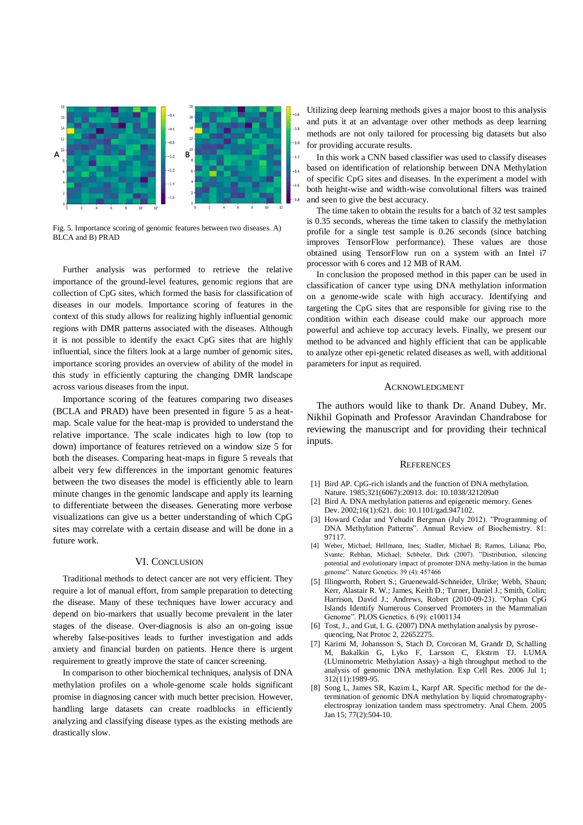<span id="page-4-0"></span>

Fig. 5. Importance scoring of genomic features between two diseases. A) BLCA and B) PRAD

Further analysis was performed to retrieve the relative importance of the ground-level features, genomic regions that are collection of CpG sites, which formed the basis for classification of diseases in our models. Importance scoring of features in the context of this study allows for realizing highly influential genomic regions with DMR patterns associated with the diseases. Although it is not possible to identify the exact CpG sites that are highly influential, since the filters look at a large number of genomic sites, importance scoring provides an overview of ability of the model in this study in efficiently capturing the changing DMR landscape across various diseases from the input.

Importance scoring of the features comparing two diseases (BCLA and PRAD) have been presented in figure [5 a](#page-4-0)s a heatmap. Scale value for the heat-map is provided to understand the relative importance. The scale indicates high to low (top to down) importance of features retrieved on a window size 5 for both the diseases. Comparing heat-maps in figure [5 r](#page-4-0)eveals that albeit very few differences in the important genomic features between the two diseases the model is efficiently able to learn minute changes in the genomic landscape and apply its learning to differentiate between the diseases. Generating more verbose visualizations can give us a better understanding of which CpG sites may correlate with a certain disease and will be done in a future work.

# VI. CONCLUSION

Traditional methods to detect cancer are not very efficient. They require a lot of manual effort, from sample preparation to detecting the disease. Many of these techniques have lower accuracy and depend on bio-markers that usually become prevalent in the later stages of the disease. Over-diagnosis is also an on-going issue whereby false-positives leads to further investigation and adds anxiety and financial burden on patients. Hence there is urgent requirement to greatly improve the state of cancer screening.

In comparison to other biochemical techniques, analysis of DNA methylation profiles on a whole-genome scale holds significant promise in diagnosing cancer with much better precision. However, handling large datasets can create roadblocks in efficiently analyzing and classifying disease types as the existing methods are drastically slow.

Utilizing deep learning methods gives a major boost to this analysis and puts it at an advantage over other methods as deep learning methods are not only tailored for processing big datasets but also for providing accurate results.

In this work a CNN based classifier was used to classify diseases based on identification of relationship between DNA Methylation of specific CpG sites and diseases. In the experiment a model with both height-wise and width-wise convolutional filters was trained and seen to give the best accuracy.

The time taken to obtain the results for a batch of 32 test samples is 0.35 seconds, whereas the time taken to classify the methylation profile for a single test sample is 0.26 seconds (since batching improves TensorFlow performance). These values are those obtained using TensorFlow run on a system with an Intel i7 processor with 6 cores and 12 MB of RAM.

In conclusion the proposed method in this paper can be used in classification of cancer type using DNA methylation information on a genome-wide scale with high accuracy. Identifying and targeting the CpG sites that are responsible for giving rise to the condition within each disease could make our approach more powerful and achieve top accuracy levels. Finally, we present our method to be advanced and highly efficient that can be applicable to analyze other epi-genetic related diseases as well, with additional parameters for input as required.

#### ACKNOWLEDGMENT

The authors would like to thank Dr. Anand Dubey, Mr. Nikhil Gopinath and Professor Aravindan Chandrabose for reviewing the manuscript and for providing their technical inputs.

#### **REFERENCES**

- [1] Bird AP. CpG-rich islands and the function of DNA methylation. Nature. 1985;321(6067):20913. doi: 10.1038/321209a0
- [2] Bird A. DNA methylation patterns and epigenetic memory. Genes Dev. 2002;16(1):621. doi: 10.1101/gad.947102.
- [3] Howard Cedar and Yehudit Bergman (July 2012). "Programming of DNA Methylation Patterns". Annual Review of Biochemistry. 81: 97117.
- [4] Weber, Michael; Hellmann, Ines; Stadler, Michael B; Ramos, Liliana; Pbo, Svante; Rebhan, Michael; Schbeler, Dirk (2007). "Distribution, silencing potential and evolutionary impact of promoter DNA methy-lation in the human genome". Nature Genetics. 39 (4): 457466
- [5] Illingworth, Robert S.; Gruenewald-Schneider, Ulrike; Webb, Shaun; Kerr, Alastair R. W.; James, Keith D.; Turner, Daniel J.; Smith, Colin; Harrison, David J.; Andrews, Robert (2010-09-23). "Orphan CpG Islands Identify Numerous Conserved Promoters in the Mammalian Genome". PLOS Genetics. 6 (9): e1001134
- [6] Tost, J., and Gut, I. G. (2007) DNA methylation analysis by pyrosequencing, Nat Protoc 2, 22652275.
- [7] Karimi M, Johansson S, Stach D, Corcoran M, Grandr D, Schalling M, Bakalkin G, Lyko F, Larsson C, Ekstrm TJ. LUMA (LUminometric Methylation Assay)–a high throughput method to the analysis of genomic DNA methylation. Exp Cell Res. 2006 Jul 1; 312(11):1989-95.
- [8] Song L, James SR, Kazim L, Karpf AR. Specific method for the determination of genomic DNA methylation by liquid chromatographyelectrospray ionization tandem mass spectrometry. Anal Chem. 2005 Jan 15; 77(2):504-10.